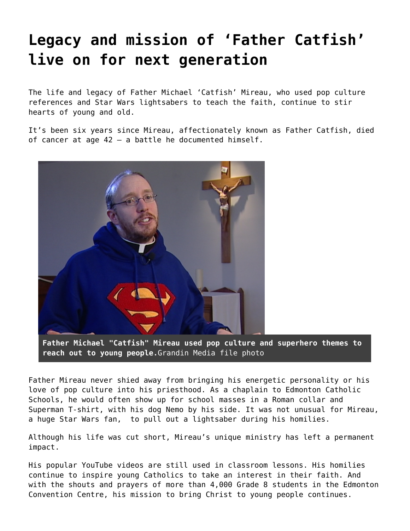## **[Legacy and mission of 'Father Catfish'](https://grandinmedia.ca/legacy-and-mission-of-father-catfish-live-on-for-next-generation/) [live on for next generation](https://grandinmedia.ca/legacy-and-mission-of-father-catfish-live-on-for-next-generation/)**

The life and legacy of Father Michael 'Catfish' Mireau, who used pop culture references and Star Wars lightsabers to teach the faith, continue to stir hearts of young and old.

It's been six years since Mireau, affectionately known as [Father Catfish](http://fathercatfish.com/), died of cancer at age 42 — a battle he documented himself.



**Father Michael "Catfish" Mireau used pop culture and superhero themes to reach out to young people.**Grandin Media file photo

Father Mireau never shied away from bringing his energetic personality or his love of pop culture into his priesthood. As a chaplain to [Edmonton Catholic](https://www.ecsd.net/Pages/default.aspx) [Schools,](https://www.ecsd.net/Pages/default.aspx) he would often show up for school masses in a Roman collar and Superman T-shirt, with his dog Nemo by his side. It was not unusual for Mireau, a huge Star Wars fan, to pull out a lightsaber during his homilies.

Although his life was cut short, Mireau's unique ministry has left a permanent impact.

His popular [YouTube videos](https://www.youtube.com/results?search_query=father+catfish) are still used in classroom lessons. His homilies continue to inspire young Catholics to take an interest in their faith. And with the shouts and prayers of more than 4,000 Grade 8 students in the Edmonton Convention Centre, his mission to bring Christ to young people continues.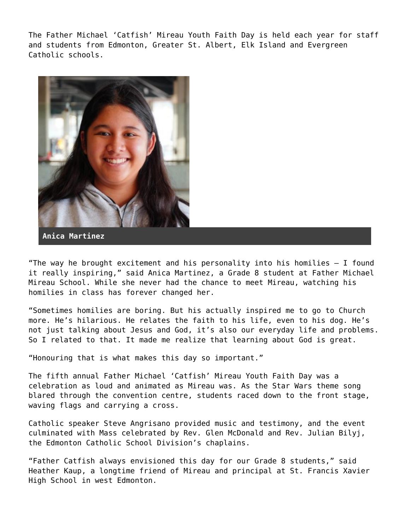The Father Michael 'Catfish' Mireau Youth Faith Day is held each year for staff and students from Edmonton, [Greater St. Albert](https://www.gsacrd.ab.ca/), [Elk Island](https://www.eics.ab.ca/) and [Evergreen](https://www.ecsrd.ca/) [Catholic](https://www.ecsrd.ca/) schools.



**Anica Martinez**

"The way he brought excitement and his personality into his homilies – I found it really inspiring," said Anica Martinez, a Grade 8 student at Father Michael Mireau School. While she never had the chance to meet Mireau, watching his homilies in class has forever changed her.

"Sometimes homilies are boring. But his actually inspired me to go to Church more. He's hilarious. He relates the faith to his life, even to his dog. He's not just talking about Jesus and God, it's also our everyday life and problems. So I related to that. It made me realize that learning about God is great.

"Honouring that is what makes this day so important."

The fifth annual Father Michael 'Catfish' Mireau Youth Faith Day was a celebration as loud and animated as Mireau was. As the Star Wars theme song blared through the convention centre, students raced down to the front stage, waving flags and carrying a cross.

Catholic speaker Steve Angrisano provided music and testimony, and the event culminated with Mass celebrated by Rev. Glen McDonald and Rev. Julian Bilyj, the Edmonton Catholic School Division's chaplains.

"Father Catfish always envisioned this day for our Grade 8 students," said Heather Kaup, a longtime friend of Mireau and principal at St. Francis Xavier High School in west Edmonton.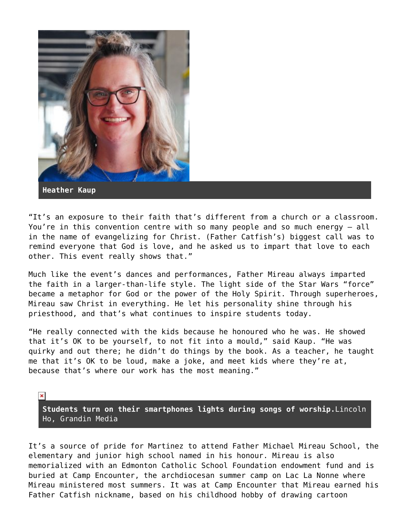

"It's an exposure to their faith that's different from a church or a classroom. You're in this convention centre with so many people and so much energy – all in the name of evangelizing for Christ. (Father Catfish's) biggest call was to remind everyone that God is love, and he asked us to impart that love to each other. This event really shows that."

Much like the event's dances and performances, Father Mireau always imparted the faith in a larger-than-life style. The light side of the Star Wars "force" became a metaphor for God or the power of the Holy Spirit. Through superheroes, Mireau saw Christ in everything. He let his personality shine through his priesthood, and that's what continues to inspire students today.

"He really connected with the kids because he honoured who he was. He showed that it's OK to be yourself, to not fit into a mould," said Kaup. "He was quirky and out there; he didn't do things by the book. As a teacher, he taught me that it's OK to be loud, make a joke, and meet kids where they're at, because that's where our work has the most meaning."

 $\pmb{\times}$ **Students turn on their smartphones lights during songs of worship.**Lincoln Ho, Grandin Media

It's a source of pride for Martinez to attend [Father Michael Mireau School,](https://www.ecsd.net/schools/1968/Pages/default.aspx) the elementary and junior high school named in his honour. Mireau is also memorialized with an Edmonton Catholic School Foundation endowment fund and is buried at [Camp Encounter](http://www.campencounter.com/), the archdiocesan summer camp on Lac La Nonne where Mireau ministered most summers. It was at Camp Encounter that Mireau earned his Father Catfish nickname, based on his childhood hobby of drawing cartoon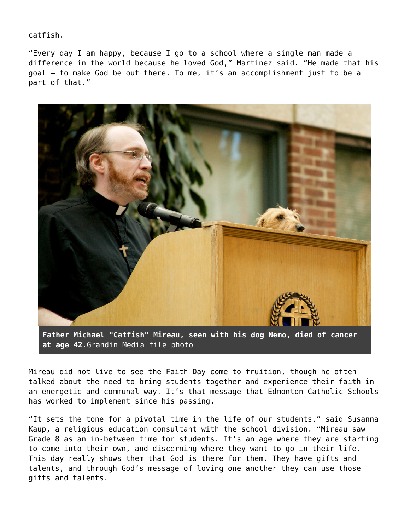catfish.

"Every day I am happy, because I go to a school where a single man made a difference in the world because he loved God," Martinez said. "He made that his goal — to make God be out there. To me, it's an accomplishment just to be a part of that."



**at age 42.**Grandin Media file photo

Mireau did not live to see the Faith Day come to fruition, though he often talked about the need to bring students together and experience their faith in an energetic and communal way. It's that message that Edmonton Catholic Schools has worked to implement since his passing.

"It sets the tone for a pivotal time in the life of our students," said Susanna Kaup, a religious education consultant with the school division. "Mireau saw Grade 8 as an in-between time for students. It's an age where they are starting to come into their own, and discerning where they want to go in their life. This day really shows them that God is there for them. They have gifts and talents, and through God's message of loving one another they can use those gifts and talents.